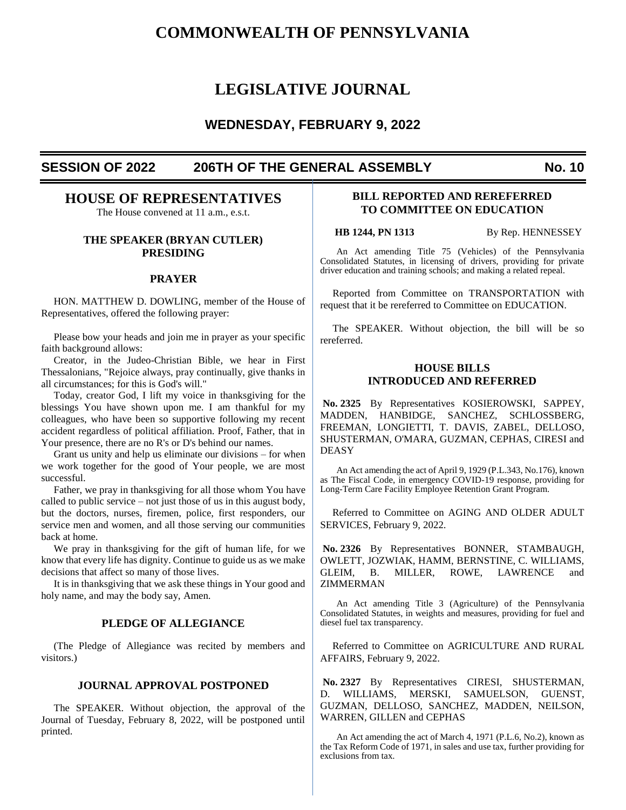# **COMMONWEALTH OF PENNSYLVANIA**

# **LEGISLATIVE JOURNAL**

# **WEDNESDAY, FEBRUARY 9, 2022**

# **SESSION OF 2022 206TH OF THE GENERAL ASSEMBLY No. 10**

# **HOUSE OF REPRESENTATIVES**

The House convened at 11 a.m., e.s.t.

# **THE SPEAKER (BRYAN CUTLER) PRESIDING**

# **PRAYER**

HON. MATTHEW D. DOWLING, member of the House of Representatives, offered the following prayer:

Please bow your heads and join me in prayer as your specific faith background allows:

Creator, in the Judeo-Christian Bible, we hear in First Thessalonians, "Rejoice always, pray continually, give thanks in all circumstances; for this is God's will."

Today, creator God, I lift my voice in thanksgiving for the blessings You have shown upon me. I am thankful for my colleagues, who have been so supportive following my recent accident regardless of political affiliation. Proof, Father, that in Your presence, there are no R's or D's behind our names.

Grant us unity and help us eliminate our divisions – for when we work together for the good of Your people, we are most successful.

Father, we pray in thanksgiving for all those whom You have called to public service – not just those of us in this august body, but the doctors, nurses, firemen, police, first responders, our service men and women, and all those serving our communities back at home.

We pray in thanksgiving for the gift of human life, for we know that every life has dignity. Continue to guide us as we make decisions that affect so many of those lives.

It is in thanksgiving that we ask these things in Your good and holy name, and may the body say, Amen.

# **PLEDGE OF ALLEGIANCE**

(The Pledge of Allegiance was recited by members and visitors.)

## **JOURNAL APPROVAL POSTPONED**

The SPEAKER. Without objection, the approval of the Journal of Tuesday, February 8, 2022, will be postponed until printed.

# **BILL REPORTED AND REREFERRED TO COMMITTEE ON EDUCATION**

**HB 1244, PN 1313** By Rep. HENNESSEY

An Act amending Title 75 (Vehicles) of the Pennsylvania Consolidated Statutes, in licensing of drivers, providing for private driver education and training schools; and making a related repeal.

Reported from Committee on TRANSPORTATION with request that it be rereferred to Committee on EDUCATION.

The SPEAKER. Without objection, the bill will be so rereferred.

# **HOUSE BILLS INTRODUCED AND REFERRED**

**No. 2325** By Representatives KOSIEROWSKI, SAPPEY, MADDEN, HANBIDGE, SANCHEZ, SCHLOSSBERG, FREEMAN, LONGIETTI, T. DAVIS, ZABEL, DELLOSO, SHUSTERMAN, O'MARA, GUZMAN, CEPHAS, CIRESI and DEASY

An Act amending the act of April 9, 1929 (P.L.343, No.176), known as The Fiscal Code, in emergency COVID-19 response, providing for Long-Term Care Facility Employee Retention Grant Program.

Referred to Committee on AGING AND OLDER ADULT SERVICES, February 9, 2022.

**No. 2326** By Representatives BONNER, STAMBAUGH, OWLETT, JOZWIAK, HAMM, BERNSTINE, C. WILLIAMS, GLEIM, B. MILLER, ROWE, LAWRENCE and ZIMMERMAN

An Act amending Title 3 (Agriculture) of the Pennsylvania Consolidated Statutes, in weights and measures, providing for fuel and diesel fuel tax transparency.

Referred to Committee on AGRICULTURE AND RURAL AFFAIRS, February 9, 2022.

**No. 2327** By Representatives CIRESI, SHUSTERMAN, D. WILLIAMS, MERSKI, SAMUELSON, GUENST, GUZMAN, DELLOSO, SANCHEZ, MADDEN, NEILSON, WARREN, GILLEN and CEPHAS

An Act amending the act of March 4, 1971 (P.L.6, No.2), known as the Tax Reform Code of 1971, in sales and use tax, further providing for exclusions from tax.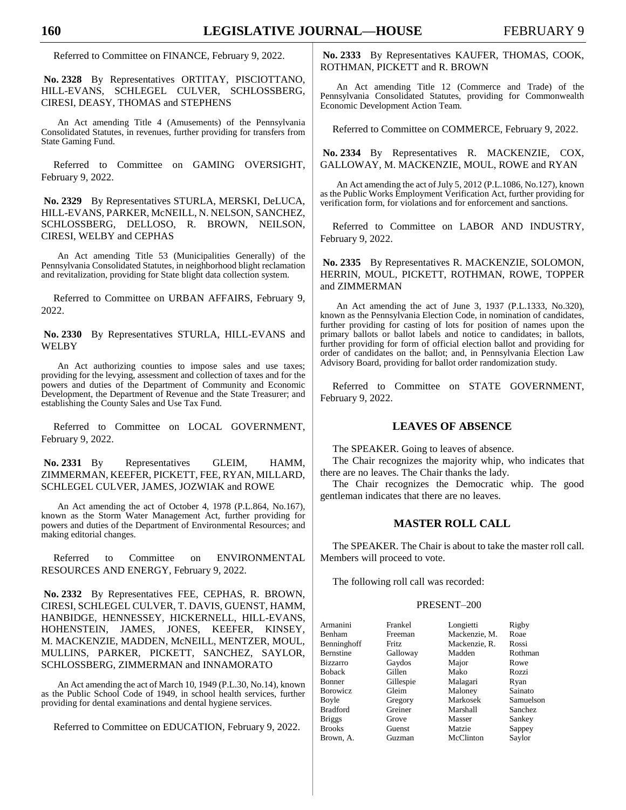Referred to Committee on FINANCE, February 9, 2022.

**No. 2328** By Representatives ORTITAY, PISCIOTTANO, HILL-EVANS, SCHLEGEL CULVER, SCHLOSSBERG, CIRESI, DEASY, THOMAS and STEPHENS

An Act amending Title 4 (Amusements) of the Pennsylvania Consolidated Statutes, in revenues, further providing for transfers from State Gaming Fund.

Referred to Committee on GAMING OVERSIGHT, February 9, 2022.

**No. 2329** By Representatives STURLA, MERSKI, DeLUCA, HILL-EVANS, PARKER, McNEILL, N. NELSON, SANCHEZ, SCHLOSSBERG, DELLOSO, R. BROWN, NEILSON, CIRESI, WELBY and CEPHAS

An Act amending Title 53 (Municipalities Generally) of the Pennsylvania Consolidated Statutes, in neighborhood blight reclamation and revitalization, providing for State blight data collection system.

Referred to Committee on URBAN AFFAIRS, February 9, 2022.

**No. 2330** By Representatives STURLA, HILL-EVANS and WELBY

An Act authorizing counties to impose sales and use taxes; providing for the levying, assessment and collection of taxes and for the powers and duties of the Department of Community and Economic Development, the Department of Revenue and the State Treasurer; and establishing the County Sales and Use Tax Fund.

Referred to Committee on LOCAL GOVERNMENT, February 9, 2022.

# **No. 2331** By Representatives GLEIM, HAMM, ZIMMERMAN, KEEFER, PICKETT, FEE, RYAN, MILLARD, SCHLEGEL CULVER, JAMES, JOZWIAK and ROWE

An Act amending the act of October 4, 1978 (P.L.864, No.167), known as the Storm Water Management Act, further providing for powers and duties of the Department of Environmental Resources; and making editorial changes.

Referred to Committee on ENVIRONMENTAL RESOURCES AND ENERGY, February 9, 2022.

**No. 2332** By Representatives FEE, CEPHAS, R. BROWN, CIRESI, SCHLEGEL CULVER, T. DAVIS, GUENST, HAMM, HANBIDGE, HENNESSEY, HICKERNELL, HILL-EVANS, HOHENSTEIN, JAMES, JONES, KEEFER, KINSEY, M. MACKENZIE, MADDEN, McNEILL, MENTZER, MOUL, MULLINS, PARKER, PICKETT, SANCHEZ, SAYLOR, SCHLOSSBERG, ZIMMERMAN and INNAMORATO

An Act amending the act of March 10, 1949 (P.L.30, No.14), known as the Public School Code of 1949, in school health services, further providing for dental examinations and dental hygiene services.

Referred to Committee on EDUCATION, February 9, 2022.

**No. 2333** By Representatives KAUFER, THOMAS, COOK, ROTHMAN, PICKETT and R. BROWN

An Act amending Title 12 (Commerce and Trade) of the Pennsylvania Consolidated Statutes, providing for Commonwealth Economic Development Action Team.

Referred to Committee on COMMERCE, February 9, 2022.

**No. 2334** By Representatives R. MACKENZIE, COX, GALLOWAY, M. MACKENZIE, MOUL, ROWE and RYAN

An Act amending the act of July 5, 2012 (P.L.1086, No.127), known as the Public Works Employment Verification Act, further providing for verification form, for violations and for enforcement and sanctions.

Referred to Committee on LABOR AND INDUSTRY, February 9, 2022.

**No. 2335** By Representatives R. MACKENZIE, SOLOMON, HERRIN, MOUL, PICKETT, ROTHMAN, ROWE, TOPPER and ZIMMERMAN

An Act amending the act of June 3, 1937 (P.L.1333, No.320), known as the Pennsylvania Election Code, in nomination of candidates, further providing for casting of lots for position of names upon the primary ballots or ballot labels and notice to candidates; in ballots, further providing for form of official election ballot and providing for order of candidates on the ballot; and, in Pennsylvania Election Law Advisory Board, providing for ballot order randomization study.

Referred to Committee on STATE GOVERNMENT, February 9, 2022.

### **LEAVES OF ABSENCE**

The SPEAKER. Going to leaves of absence.

The Chair recognizes the majority whip, who indicates that there are no leaves. The Chair thanks the lady.

The Chair recognizes the Democratic whip. The good gentleman indicates that there are no leaves.

# **MASTER ROLL CALL**

The SPEAKER. The Chair is about to take the master roll call. Members will proceed to vote.

The following roll call was recorded:

## PRESENT–200

| Armanini         | Frankel   | Longietti     | Rigby          |
|------------------|-----------|---------------|----------------|
| <b>Benham</b>    | Freeman   | Mackenzie, M. | Roae           |
| Benninghoff      | Fritz.    | Mackenzie, R. | Rossi          |
| Bernstine        | Galloway  | Madden        | Rothman        |
| <b>Bizzarro</b>  | Gaydos    | Major         | Rowe           |
| <b>Boback</b>    | Gillen    | Mako          | Rozzi          |
| <b>Bonner</b>    | Gillespie | Malagari      | Ryan           |
| <b>B</b> orowicz | Gleim     | Maloney       | Sainato        |
| Boyle            | Gregory   | Markosek      | Samuelson      |
| <b>Bradford</b>  | Greiner   | Marshall      | <b>Sanchez</b> |
| <b>Briggs</b>    | Grove     | Masser        | Sankey         |
| <b>Brooks</b>    | Guenst    | Matzie        | Sappey         |
| Brown, A.        | Guzman    | McClinton     | Saylor         |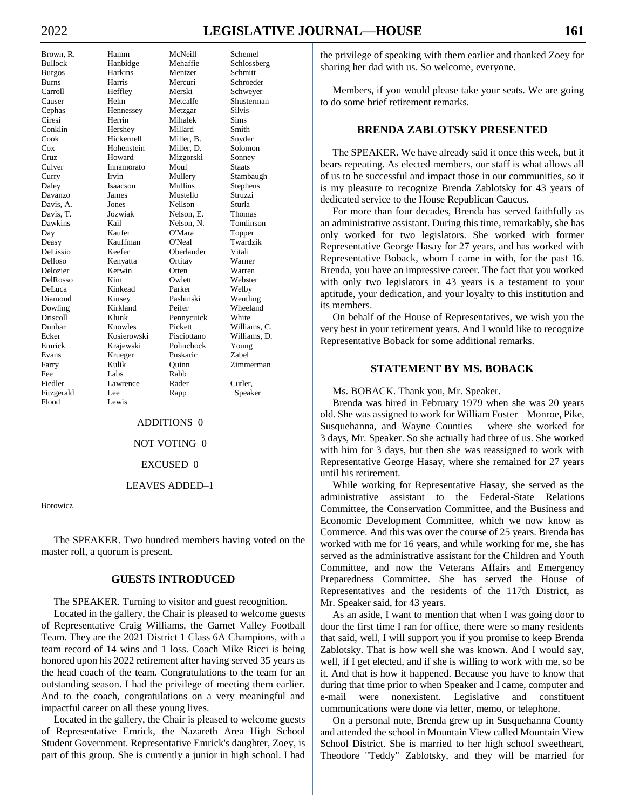# 2022 **LEGISLATIVE JOURNAL—HOUSE 161**

| Brown, R.                                            |
|------------------------------------------------------|
| Bullock                                              |
| <b>Burgos</b>                                        |
| <b>Burns</b>                                         |
| Carroll                                              |
|                                                      |
| Causer<br>Cephas<br>Ciresi<br>Conklin<br>Cook<br>Cox |
|                                                      |
|                                                      |
|                                                      |
|                                                      |
| Cruz                                                 |
| Culver                                               |
| Curry                                                |
| Daley                                                |
| Davanzo                                              |
| Davis, A.                                            |
| Davis, T.                                            |
| Dawkins                                              |
| Day                                                  |
| Deasy                                                |
| DeLissio                                             |
| Delloso                                              |
| Delozier                                             |
| DelRosso                                             |
| DeLuca                                               |
| Diamond                                              |
| Dowling                                              |
| Driscoll<br>Dunbar<br>Ecker                          |
|                                                      |
|                                                      |
| -<br>Emrick                                          |
| -<br>Evans                                           |
| Farry                                                |
| Fee                                                  |
| Fiedler                                              |
| Fitzgerald                                           |
| Flood                                                |

Hamm McNeill Schemel Hanbidge Mehaffie Schlossberg Harkins Mentzer Schmitt Burns Harris Mercuri Schroeder Heffley Merski Schweyer Helm Metcalfe Shusterman Hennessey Metzgar Silvis Herrin Mihalek Sims Hershey Millard Smith Hickernell Miller, B. Snyder Hohenstein Miller, D. Solomon Howard Mizgorski Sonney<br>
Innamorato Moul Staats Innamorato Moul Irvin Mullery Stambaugh Isaacson Mullins Stephens James Mustello Struzzi Jones Neilson Sturla Jozwiak Nelson, E. Thomas Kail Nelson, N. Tomlinson Kaufer O'Mara Topper Kauffman O'Neal Twardzik Keefer Oberlander Vitali Kenyatta Ortitay Warner Kerwin Otten Warren DelRosso Kim Owlett Webster Kinkead Parker Welby Kinsey Pashinski Wentling<br>
Kirkland Peifer Wheeland Klunk Pennycuick White Knowles Pickett Williams, C. Kosierowski Pisciottano Williams, D. Krajewski Polinchock Young Krueger Puskaric Zabel Kulik Quinn Zimmerman Fee Labs Rabb Lawrence Rader Cutler. Lee Rapp Speaker Lewis

Wheeland

# ADDITIONS–0

#### NOT VOTING–0

#### EXCUSED–0

#### LEAVES ADDED–1

Borowicz

The SPEAKER. Two hundred members having voted on the master roll, a quorum is present.

# **GUESTS INTRODUCED**

The SPEAKER. Turning to visitor and guest recognition.

Located in the gallery, the Chair is pleased to welcome guests of Representative Craig Williams, the Garnet Valley Football Team. They are the 2021 District 1 Class 6A Champions, with a team record of 14 wins and 1 loss. Coach Mike Ricci is being honored upon his 2022 retirement after having served 35 years as the head coach of the team. Congratulations to the team for an outstanding season. I had the privilege of meeting them earlier. And to the coach, congratulations on a very meaningful and impactful career on all these young lives.

Located in the gallery, the Chair is pleased to welcome guests of Representative Emrick, the Nazareth Area High School Student Government. Representative Emrick's daughter, Zoey, is part of this group. She is currently a junior in high school. I had

the privilege of speaking with them earlier and thanked Zoey for sharing her dad with us. So welcome, everyone.

Members, if you would please take your seats. We are going to do some brief retirement remarks.

# **BRENDA ZABLOTSKY PRESENTED**

The SPEAKER. We have already said it once this week, but it bears repeating. As elected members, our staff is what allows all of us to be successful and impact those in our communities, so it is my pleasure to recognize Brenda Zablotsky for 43 years of dedicated service to the House Republican Caucus.

For more than four decades, Brenda has served faithfully as an administrative assistant. During this time, remarkably, she has only worked for two legislators. She worked with former Representative George Hasay for 27 years, and has worked with Representative Boback, whom I came in with, for the past 16. Brenda, you have an impressive career. The fact that you worked with only two legislators in 43 years is a testament to your aptitude, your dedication, and your loyalty to this institution and its members.

On behalf of the House of Representatives, we wish you the very best in your retirement years. And I would like to recognize Representative Boback for some additional remarks.

#### **STATEMENT BY MS. BOBACK**

Ms. BOBACK. Thank you, Mr. Speaker.

Brenda was hired in February 1979 when she was 20 years old. She was assigned to work for William Foster – Monroe, Pike, Susquehanna, and Wayne Counties – where she worked for 3 days, Mr. Speaker. So she actually had three of us. She worked with him for 3 days, but then she was reassigned to work with Representative George Hasay, where she remained for 27 years until his retirement.

While working for Representative Hasay, she served as the administrative assistant to the Federal-State Relations Committee, the Conservation Committee, and the Business and Economic Development Committee, which we now know as Commerce. And this was over the course of 25 years. Brenda has worked with me for 16 years, and while working for me, she has served as the administrative assistant for the Children and Youth Committee, and now the Veterans Affairs and Emergency Preparedness Committee. She has served the House of Representatives and the residents of the 117th District, as Mr. Speaker said, for 43 years.

As an aside, I want to mention that when I was going door to door the first time I ran for office, there were so many residents that said, well, I will support you if you promise to keep Brenda Zablotsky. That is how well she was known. And I would say, well, if I get elected, and if she is willing to work with me, so be it. And that is how it happened. Because you have to know that during that time prior to when Speaker and I came, computer and e-mail were nonexistent. Legislative and constituent communications were done via letter, memo, or telephone.

On a personal note, Brenda grew up in Susquehanna County and attended the school in Mountain View called Mountain View School District. She is married to her high school sweetheart, Theodore "Teddy" Zablotsky, and they will be married for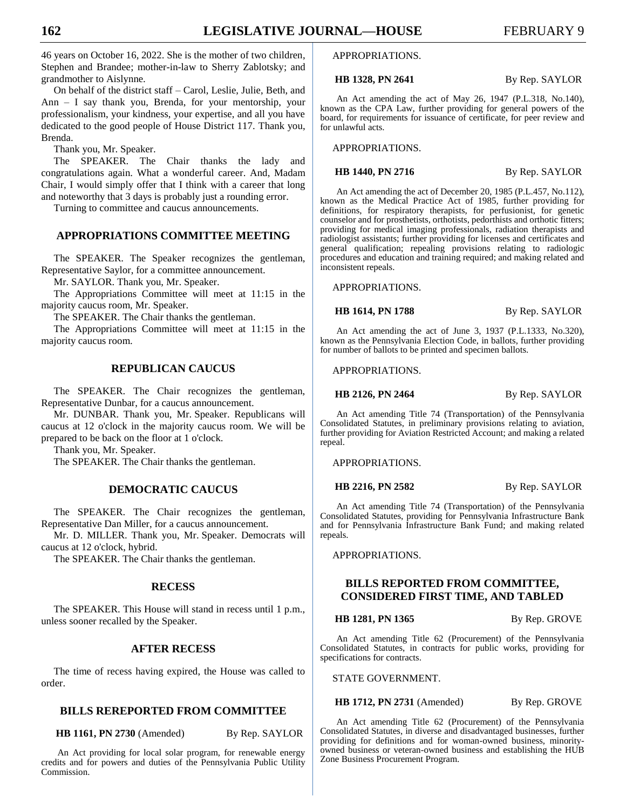46 years on October 16, 2022. She is the mother of two children, Stephen and Brandee; mother-in-law to Sherry Zablotsky; and grandmother to Aislynne.

On behalf of the district staff – Carol, Leslie, Julie, Beth, and Ann – I say thank you, Brenda, for your mentorship, your professionalism, your kindness, your expertise, and all you have dedicated to the good people of House District 117. Thank you, Brenda.

Thank you, Mr. Speaker.

The SPEAKER. The Chair thanks the lady and congratulations again. What a wonderful career. And, Madam Chair, I would simply offer that I think with a career that long and noteworthy that 3 days is probably just a rounding error.

Turning to committee and caucus announcements.

# **APPROPRIATIONS COMMITTEE MEETING**

The SPEAKER. The Speaker recognizes the gentleman, Representative Saylor, for a committee announcement.

Mr. SAYLOR. Thank you, Mr. Speaker.

The Appropriations Committee will meet at 11:15 in the majority caucus room, Mr. Speaker.

The SPEAKER. The Chair thanks the gentleman.

The Appropriations Committee will meet at 11:15 in the majority caucus room.

# **REPUBLICAN CAUCUS**

The SPEAKER. The Chair recognizes the gentleman, Representative Dunbar, for a caucus announcement.

Mr. DUNBAR. Thank you, Mr. Speaker. Republicans will caucus at 12 o'clock in the majority caucus room. We will be prepared to be back on the floor at 1 o'clock.

Thank you, Mr. Speaker.

The SPEAKER. The Chair thanks the gentleman.

# **DEMOCRATIC CAUCUS**

The SPEAKER. The Chair recognizes the gentleman, Representative Dan Miller, for a caucus announcement.

Mr. D. MILLER. Thank you, Mr. Speaker. Democrats will caucus at 12 o'clock, hybrid.

The SPEAKER. The Chair thanks the gentleman.

#### **RECESS**

The SPEAKER. This House will stand in recess until 1 p.m., unless sooner recalled by the Speaker.

# **AFTER RECESS**

The time of recess having expired, the House was called to order.

## **BILLS REREPORTED FROM COMMITTEE**

**HB 1161, PN 2730** (Amended) By Rep. SAYLOR

An Act providing for local solar program, for renewable energy credits and for powers and duties of the Pennsylvania Public Utility Commission.

#### APPROPRIATIONS.

**HB 1328, PN 2641** By Rep. SAYLOR

An Act amending the act of May 26, 1947 (P.L.318, No.140), known as the CPA Law, further providing for general powers of the board, for requirements for issuance of certificate, for peer review and for unlawful acts.

APPROPRIATIONS.

**HB 1440, PN 2716** By Rep. SAYLOR

An Act amending the act of December 20, 1985 (P.L.457, No.112), known as the Medical Practice Act of 1985, further providing for definitions, for respiratory therapists, for perfusionist, for genetic counselor and for prosthetists, orthotists, pedorthists and orthotic fitters; providing for medical imaging professionals, radiation therapists and radiologist assistants; further providing for licenses and certificates and general qualification; repealing provisions relating to radiologic procedures and education and training required; and making related and inconsistent repeals.

APPROPRIATIONS.

**HB 1614, PN 1788** By Rep. SAYLOR

An Act amending the act of June 3, 1937 (P.L.1333, No.320), known as the Pennsylvania Election Code, in ballots, further providing for number of ballots to be printed and specimen ballots.

APPROPRIATIONS.

**HB 2126, PN 2464** By Rep. SAYLOR

An Act amending Title 74 (Transportation) of the Pennsylvania Consolidated Statutes, in preliminary provisions relating to aviation, further providing for Aviation Restricted Account; and making a related repeal.

APPROPRIATIONS.

**HB 2216, PN 2582** By Rep. SAYLOR

An Act amending Title 74 (Transportation) of the Pennsylvania Consolidated Statutes, providing for Pennsylvania Infrastructure Bank and for Pennsylvania Infrastructure Bank Fund; and making related repeals.

APPROPRIATIONS.

# **BILLS REPORTED FROM COMMITTEE, CONSIDERED FIRST TIME, AND TABLED**

**HB 1281, PN 1365** By Rep. GROVE

An Act amending Title 62 (Procurement) of the Pennsylvania Consolidated Statutes, in contracts for public works, providing for specifications for contracts.

STATE GOVERNMENT.

**HB 1712, PN 2731** (Amended) By Rep. GROVE

An Act amending Title 62 (Procurement) of the Pennsylvania Consolidated Statutes, in diverse and disadvantaged businesses, further providing for definitions and for woman-owned business, minorityowned business or veteran-owned business and establishing the HUB Zone Business Procurement Program.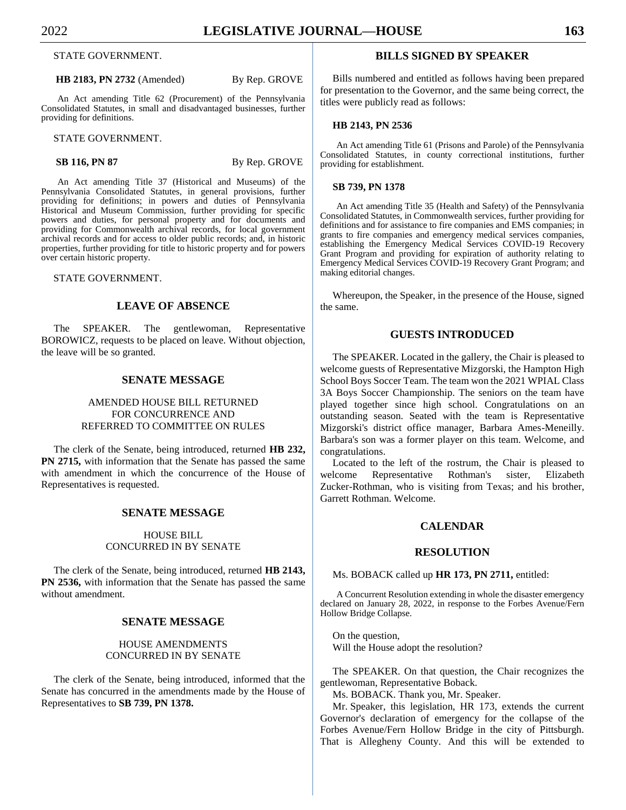STATE GOVERNMENT.

#### **HB 2183, PN 2732** (Amended) By Rep. GROVE

An Act amending Title 62 (Procurement) of the Pennsylvania Consolidated Statutes, in small and disadvantaged businesses, further providing for definitions.

STATE GOVERNMENT.

**SB 116, PN 87** By Rep. GROVE

An Act amending Title 37 (Historical and Museums) of the Pennsylvania Consolidated Statutes, in general provisions, further providing for definitions; in powers and duties of Pennsylvania Historical and Museum Commission, further providing for specific powers and duties, for personal property and for documents and providing for Commonwealth archival records, for local government archival records and for access to older public records; and, in historic properties, further providing for title to historic property and for powers over certain historic property.

#### STATE GOVERNMENT.

# **LEAVE OF ABSENCE**

The SPEAKER. The gentlewoman, Representative BOROWICZ, requests to be placed on leave. Without objection, the leave will be so granted.

#### **SENATE MESSAGE**

# AMENDED HOUSE BILL RETURNED FOR CONCURRENCE AND REFERRED TO COMMITTEE ON RULES

The clerk of the Senate, being introduced, returned **HB 232, PN 2715,** with information that the Senate has passed the same with amendment in which the concurrence of the House of Representatives is requested.

# **SENATE MESSAGE**

## HOUSE BILL CONCURRED IN BY SENATE

The clerk of the Senate, being introduced, returned **HB 2143, PN 2536,** with information that the Senate has passed the same without amendment.

## **SENATE MESSAGE**

# HOUSE AMENDMENTS CONCURRED IN BY SENATE

The clerk of the Senate, being introduced, informed that the Senate has concurred in the amendments made by the House of Representatives to **SB 739, PN 1378.**

# **BILLS SIGNED BY SPEAKER**

Bills numbered and entitled as follows having been prepared for presentation to the Governor, and the same being correct, the titles were publicly read as follows:

#### **HB 2143, PN 2536**

An Act amending Title 61 (Prisons and Parole) of the Pennsylvania Consolidated Statutes, in county correctional institutions, further providing for establishment.

#### **SB 739, PN 1378**

An Act amending Title 35 (Health and Safety) of the Pennsylvania Consolidated Statutes, in Commonwealth services, further providing for definitions and for assistance to fire companies and EMS companies; in grants to fire companies and emergency medical services companies, establishing the Emergency Medical Services COVID-19 Recovery Grant Program and providing for expiration of authority relating to Emergency Medical Services COVID-19 Recovery Grant Program; and making editorial changes.

Whereupon, the Speaker, in the presence of the House, signed the same.

#### **GUESTS INTRODUCED**

The SPEAKER. Located in the gallery, the Chair is pleased to welcome guests of Representative Mizgorski, the Hampton High School Boys Soccer Team. The team won the 2021 WPIAL Class 3A Boys Soccer Championship. The seniors on the team have played together since high school. Congratulations on an outstanding season. Seated with the team is Representative Mizgorski's district office manager, Barbara Ames-Meneilly. Barbara's son was a former player on this team. Welcome, and congratulations.

Located to the left of the rostrum, the Chair is pleased to welcome Representative Rothman's sister, Elizabeth Zucker-Rothman, who is visiting from Texas; and his brother, Garrett Rothman. Welcome.

#### **CALENDAR**

#### **RESOLUTION**

Ms. BOBACK called up **HR 173, PN 2711,** entitled:

A Concurrent Resolution extending in whole the disaster emergency declared on January 28, 2022, in response to the Forbes Avenue/Fern Hollow Bridge Collapse.

On the question, Will the House adopt the resolution?

The SPEAKER. On that question, the Chair recognizes the gentlewoman, Representative Boback.

Ms. BOBACK. Thank you, Mr. Speaker.

Mr. Speaker, this legislation, HR 173, extends the current Governor's declaration of emergency for the collapse of the Forbes Avenue/Fern Hollow Bridge in the city of Pittsburgh. That is Allegheny County. And this will be extended to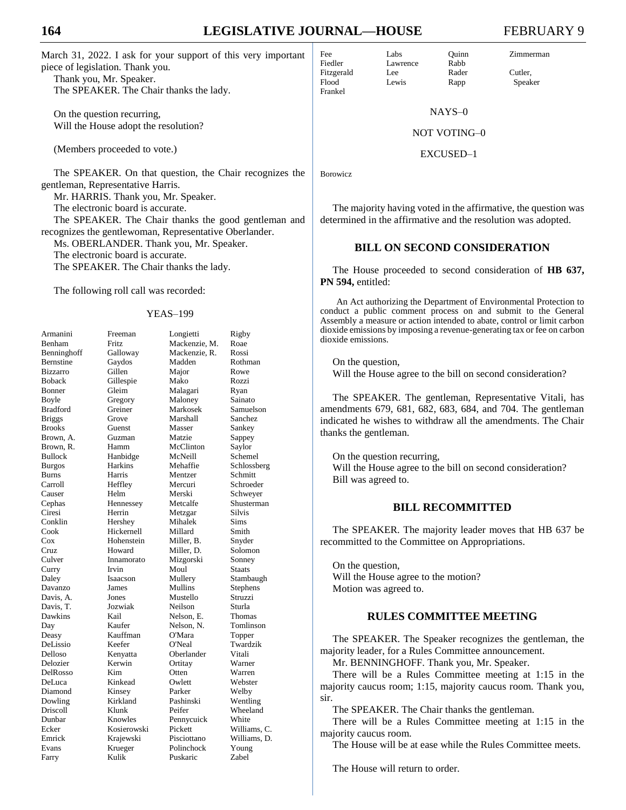March 31, 2022. I ask for your support of this very important piece of legislation. Thank you.

Thank you, Mr. Speaker. The SPEAKER. The Chair thanks the lady.

On the question recurring, Will the House adopt the resolution?

(Members proceeded to vote.)

The SPEAKER. On that question, the Chair recognizes the gentleman, Representative Harris.

Mr. HARRIS. Thank you, Mr. Speaker.

The electronic board is accurate.

The SPEAKER. The Chair thanks the good gentleman and recognizes the gentlewoman, Representative Oberlander.

Ms. OBERLANDER. Thank you, Mr. Speaker.

The electronic board is accurate.

The SPEAKER. The Chair thanks the lady.

The following roll call was recorded:

#### YEAS–199

| Armanini         | Freeman        | Longietti     | Rigby         |
|------------------|----------------|---------------|---------------|
| Benham           | Fritz          | Mackenzie, M. | Roae          |
| Benninghoff      | Galloway       | Mackenzie, R. | Rossi         |
| <b>Bernstine</b> | Gaydos         | Madden        | Rothman       |
| <b>Bizzarro</b>  | Gillen         | Major         | Rowe          |
| <b>Boback</b>    | Gillespie      | Mako          | Rozzi         |
| Bonner           | Gleim          | Malagari      | Ryan          |
| Boyle            | Gregory        | Maloney       | Sainato       |
| <b>Bradford</b>  | Greiner        | Markosek      | Samuelson     |
| <b>Briggs</b>    | Grove          | Marshall      | Sanchez       |
| <b>Brooks</b>    | Guenst         | Masser        | Sankey        |
| Brown, A.        | Guzman         | Matzie        | Sappey        |
| Brown, R.        | Hamm           | McClinton     | Saylor        |
| <b>Bullock</b>   | Hanbidge       | McNeill       | Schemel       |
| <b>Burgos</b>    | <b>Harkins</b> | Mehaffie      | Schlossberg   |
| Burns            | Harris         | Mentzer       | Schmitt       |
| Carroll          | Heffley        | Mercuri       | Schroeder     |
| Causer           | Helm           | Merski        | Schweyer      |
| Cephas           | Hennessey      | Metcalfe      | Shusterman    |
| Ciresi           | Herrin         | Metzgar       | <b>Silvis</b> |
| Conklin          | Hershey        | Mihalek       | Sims          |
| Cook             | Hickernell     | Millard       | Smith         |
| $\cos$           | Hohenstein     | Miller, B.    | Snyder        |
| Cruz             | Howard         | Miller, D.    | Solomon       |
| Culver           | Innamorato     | Mizgorski     | Sonney        |
| Curry            | Irvin          | Moul          | Staats        |
| Daley            | Isaacson       | Mullery       | Stambaugh     |
| Davanzo          | James          | Mullins       | Stephens      |
| Davis, A.        | Jones          | Mustello      | Struzzi       |
| Davis, T.        | Jozwiak        | Neilson       | Sturla        |
| Dawkins          | Kail           | Nelson, E.    | Thomas        |
| Day              | Kaufer         | Nelson. N.    | Tomlinson     |
| Deasy            | Kauffman       | O'Mara        | Topper        |
| DeLissio         | Keefer         | O'Neal        | Twardzik      |
| Delloso          | Kenyatta       | Oberlander    | Vitali        |
| Delozier         | Kerwin         | Ortitay       | Warner        |
| DelRosso         | Kim.           | Otten         | Warren        |
| DeLuca           | Kinkead        | Owlett        | Webster       |
| Diamond          | Kinsey         | Parker        | Welby         |
| Dowling          | Kirkland       | Pashinski     | Wentling      |
| Driscoll         | Klunk          | Peifer        | Wheeland      |
| Dunbar           | Knowles        | Pennycuick    | White         |
| Ecker            | Kosierowski    | Pickett       | Williams, C.  |
| Emrick           | Krajewski      | Pisciottano   | Williams, D.  |
| Evans            | Krueger        | Polinchock    | Young         |
| Farry            | Kulik          | Puskaric      | Zabel         |
|                  |                |               |               |

Lawrence Rabb

NAYS–0

#### NOT VOTING–0

EXCUSED–1

Borowicz

The majority having voted in the affirmative, the question was determined in the affirmative and the resolution was adopted.

# **BILL ON SECOND CONSIDERATION**

The House proceeded to second consideration of **HB 637, PN 594,** entitled:

An Act authorizing the Department of Environmental Protection to conduct a public comment process on and submit to the General Assembly a measure or action intended to abate, control or limit carbon dioxide emissions by imposing a revenue-generating tax or fee on carbon dioxide emissions.

On the question, Will the House agree to the bill on second consideration?

The SPEAKER. The gentleman, Representative Vitali, has amendments 679, 681, 682, 683, 684, and 704. The gentleman indicated he wishes to withdraw all the amendments. The Chair thanks the gentleman.

On the question recurring, Will the House agree to the bill on second consideration? Bill was agreed to.

## **BILL RECOMMITTED**

The SPEAKER. The majority leader moves that HB 637 be recommitted to the Committee on Appropriations.

On the question, Will the House agree to the motion? Motion was agreed to.

# **RULES COMMITTEE MEETING**

The SPEAKER. The Speaker recognizes the gentleman, the majority leader, for a Rules Committee announcement.

Mr. BENNINGHOFF. Thank you, Mr. Speaker.

There will be a Rules Committee meeting at 1:15 in the majority caucus room; 1:15, majority caucus room. Thank you, sir.

The SPEAKER. The Chair thanks the gentleman.

There will be a Rules Committee meeting at 1:15 in the majority caucus room.

The House will be at ease while the Rules Committee meets.

The House will return to order.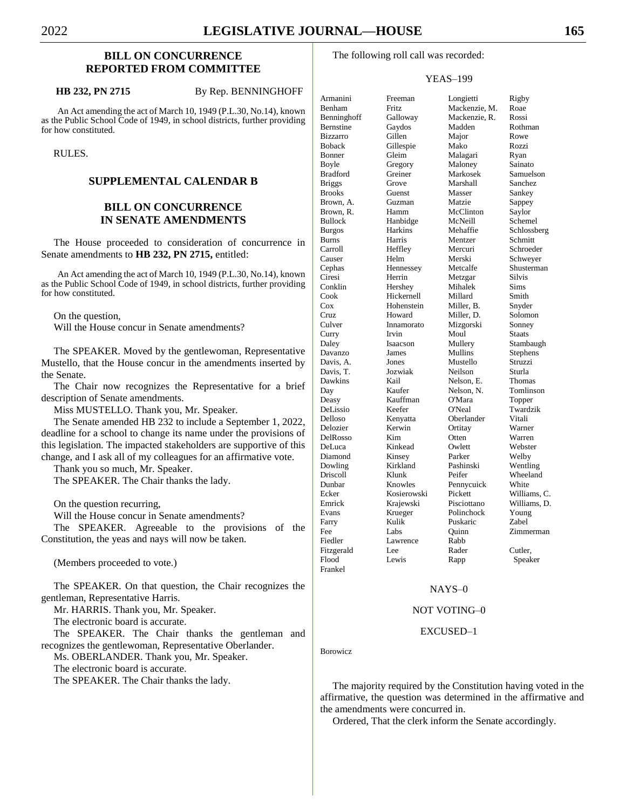# **BILL ON CONCURRENCE REPORTED FROM COMMITTEE**

#### **HB 232, PN 2715** By Rep. BENNINGHOFF

An Act amending the act of March 10, 1949 (P.L.30, No.14), known as the Public School Code of 1949, in school districts, further providing for how constituted.

RULES.

# **SUPPLEMENTAL CALENDAR B**

# **BILL ON CONCURRENCE IN SENATE AMENDMENTS**

The House proceeded to consideration of concurrence in Senate amendments to **HB 232, PN 2715,** entitled:

An Act amending the act of March 10, 1949 (P.L.30, No.14), known as the Public School Code of 1949, in school districts, further providing for how constituted.

On the question,

Will the House concur in Senate amendments?

The SPEAKER. Moved by the gentlewoman, Representative Mustello, that the House concur in the amendments inserted by the Senate.

The Chair now recognizes the Representative for a brief description of Senate amendments.

Miss MUSTELLO. Thank you, Mr. Speaker.

The Senate amended HB 232 to include a September 1, 2022, deadline for a school to change its name under the provisions of this legislation. The impacted stakeholders are supportive of this change, and I ask all of my colleagues for an affirmative vote.

Thank you so much, Mr. Speaker.

The SPEAKER. The Chair thanks the lady.

On the question recurring,

Will the House concur in Senate amendments?

The SPEAKER. Agreeable to the provisions of the Constitution, the yeas and nays will now be taken.

(Members proceeded to vote.)

The SPEAKER. On that question, the Chair recognizes the gentleman, Representative Harris.

Mr. HARRIS. Thank you, Mr. Speaker.

The electronic board is accurate.

The SPEAKER. The Chair thanks the gentleman and recognizes the gentlewoman, Representative Oberlander.

Ms. OBERLANDER. Thank you, Mr. Speaker.

The electronic board is accurate.

The SPEAKER. The Chair thanks the lady.

Greiner

#### YEAS–199

Diamond Kinsey<br>Dowling Kirklan Farry Kulik Puskaric Fiedler Lawrence Rabb Frankel

Armanini Freeman Longietti Rigby Benham Fritz Mackenzie, M. Roae Benninghoff Galloway Mackenzie, R. Rossi Bernstine Gaydos Madden Rothman Bizzarro Gillen Major Rowe Boback Gillespie Mako Rozzi Bonner Gleim Malagari Ryan Boyle Gregory Maloney Sainato<br>Bradford Greiner Markosek Samuelson Briggs Grove Marshall Sanchez Brooks Guenst Masser Sankey Brown, A. Guzman Matzie Sappey Brown, R. Hamm McClinton Saylor Bullock Hanbidge McNeill Schemel Burgos Harkins Mehaffie Schlossberg Burns Harris Mentzer Schmitt Carroll Heffley Mercuri Schroeder Causer Helm Merski Schweyer Cephas Hennessey Metcalfe Shusterman Ciresi Herrin Metzgar Silvis Hershey Mihalek Sims Cook Hickernell Millard Smith<br>Cox Hohenstein Miller, B. Snyde Cox Hohenstein Miller, B. Snyder Cruz Howard Miller, D. Solomon Culver Innamorato Mizgorski Sonney Curry Irvin Moul Staats Daley Isaacson Mullery Stambaugh Davanzo James Mullins Stephens Davis, A. Jones Mustello Struzzi Davis, T. Jozwiak Neilson Sturla Nelson, E. Day Kaufer Nelson, N. Tomlinson Deasy Kauffman O'Mara Topper DeLissio Keefer O'Neal Twardzik Delloso Kenyatta Oberlander Vitali Delozier Kerwin Ortitay Warner DelRosso Kim Otten Warren DeLuca Kinkead Owlett Webster Kirkland Pashinski Wentling Driscoll Klunk Peifer Wheeland Knowles Pennycuick Ecker Kosierowski Pickett Williams, C. Emrick Krajewski Pisciottano Williams, D. Evans Krueger Polinchock Young<br>
Farry Kulik Puskaric Zabel Fee Labs Quinn Zimmerman Fitzgerald Lee Rader Cutler,<br>Flood Lewis Rapp Speak Lewis Rapp Speaker

# NAYS–0

#### NOT VOTING–0

#### EXCUSED–1

Borowicz

The majority required by the Constitution having voted in the affirmative, the question was determined in the affirmative and the amendments were concurred in.

Ordered, That the clerk inform the Senate accordingly.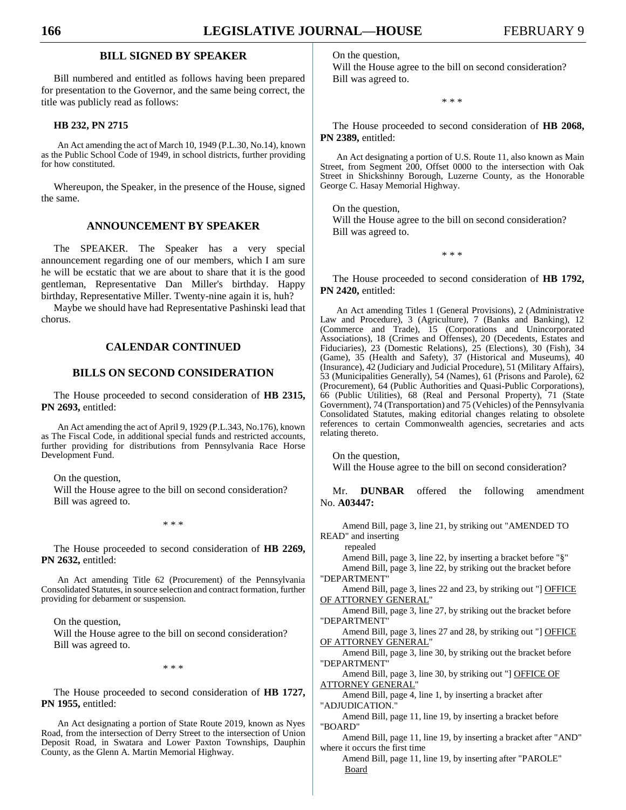# **BILL SIGNED BY SPEAKER**

Bill numbered and entitled as follows having been prepared for presentation to the Governor, and the same being correct, the title was publicly read as follows:

#### **HB 232, PN 2715**

An Act amending the act of March 10, 1949 (P.L.30, No.14), known as the Public School Code of 1949, in school districts, further providing for how constituted.

Whereupon, the Speaker, in the presence of the House, signed the same.

# **ANNOUNCEMENT BY SPEAKER**

The SPEAKER. The Speaker has a very special announcement regarding one of our members, which I am sure he will be ecstatic that we are about to share that it is the good gentleman, Representative Dan Miller's birthday. Happy birthday, Representative Miller. Twenty-nine again it is, huh?

Maybe we should have had Representative Pashinski lead that chorus.

# **CALENDAR CONTINUED**

#### **BILLS ON SECOND CONSIDERATION**

The House proceeded to second consideration of **HB 2315, PN 2693,** entitled:

An Act amending the act of April 9, 1929 (P.L.343, No.176), known as The Fiscal Code, in additional special funds and restricted accounts, further providing for distributions from Pennsylvania Race Horse Development Fund.

On the question,

Will the House agree to the bill on second consideration? Bill was agreed to.

\* \* \*

The House proceeded to second consideration of **HB 2269, PN 2632,** entitled:

An Act amending Title 62 (Procurement) of the Pennsylvania Consolidated Statutes, in source selection and contract formation, further providing for debarment or suspension.

On the question, Will the House agree to the bill on second consideration? Bill was agreed to.

\* \* \*

The House proceeded to second consideration of **HB 1727, PN 1955,** entitled:

An Act designating a portion of State Route 2019, known as Nyes Road, from the intersection of Derry Street to the intersection of Union Deposit Road, in Swatara and Lower Paxton Townships, Dauphin County, as the Glenn A. Martin Memorial Highway.

On the question,

Will the House agree to the bill on second consideration? Bill was agreed to.

\* \* \*

The House proceeded to second consideration of **HB 2068, PN 2389,** entitled:

An Act designating a portion of U.S. Route 11, also known as Main Street, from Segment 200, Offset 0000 to the intersection with Oak Street in Shickshinny Borough, Luzerne County, as the Honorable George C. Hasay Memorial Highway.

On the question, Will the House agree to the bill on second consideration? Bill was agreed to.

\* \* \*

The House proceeded to second consideration of **HB 1792, PN 2420,** entitled:

An Act amending Titles 1 (General Provisions), 2 (Administrative Law and Procedure), 3 (Agriculture), 7 (Banks and Banking), 12 (Commerce and Trade), 15 (Corporations and Unincorporated Associations), 18 (Crimes and Offenses), 20 (Decedents, Estates and Fiduciaries), 23 (Domestic Relations), 25 (Elections), 30 (Fish), 34 (Game), 35 (Health and Safety), 37 (Historical and Museums), 40 (Insurance), 42 (Judiciary and Judicial Procedure), 51 (Military Affairs), 53 (Municipalities Generally), 54 (Names), 61 (Prisons and Parole), 62 (Procurement), 64 (Public Authorities and Quasi-Public Corporations), 66 (Public Utilities), 68 (Real and Personal Property), 71 (State Government), 74 (Transportation) and 75 (Vehicles) of the Pennsylvania Consolidated Statutes, making editorial changes relating to obsolete references to certain Commonwealth agencies, secretaries and acts relating thereto.

On the question, Will the House agree to the bill on second consideration?

Mr. **DUNBAR** offered the following amendment No. **A03447:**

Amend Bill, page 3, line 21, by striking out "AMENDED TO READ" and inserting

repealed

Amend Bill, page 3, line 22, by inserting a bracket before "§" Amend Bill, page 3, line 22, by striking out the bracket before

"DEPARTMENT"

Amend Bill, page 3, lines 22 and 23, by striking out "] OFFICE OF ATTORNEY GENERAL"

Amend Bill, page 3, line 27, by striking out the bracket before "DEPARTMENT"

Amend Bill, page 3, lines 27 and 28, by striking out "] OFFICE OF ATTORNEY GENERAL"

Amend Bill, page 3, line 30, by striking out the bracket before "DEPARTMENT"

Amend Bill, page 3, line 30, by striking out "] OFFICE OF ATTORNEY GENERAL"

Amend Bill, page 4, line 1, by inserting a bracket after "ADJUDICATION."

Amend Bill, page 11, line 19, by inserting a bracket before "BOARD"

Amend Bill, page 11, line 19, by inserting a bracket after "AND" where it occurs the first time

Amend Bill, page 11, line 19, by inserting after "PAROLE" Board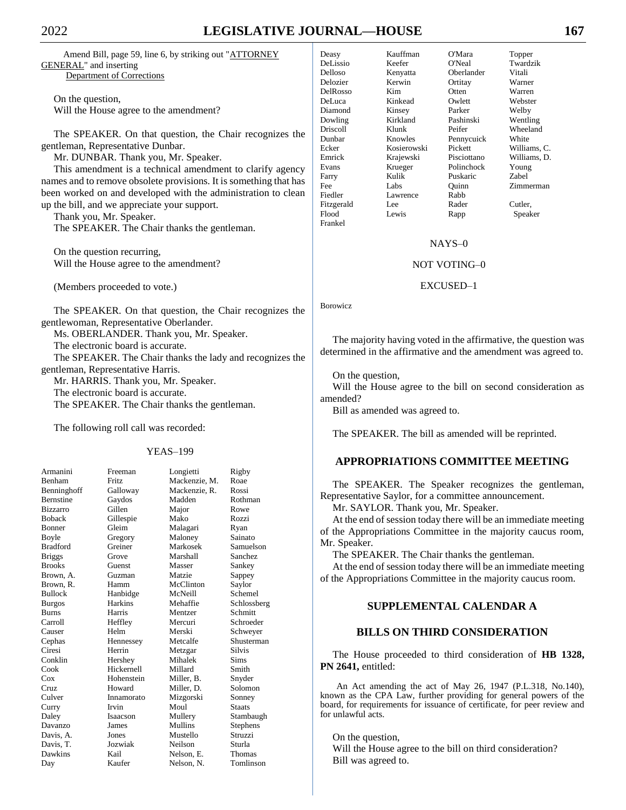# 2022 **LEGISLATIVE JOURNAL—HOUSE 167**

Amend Bill, page 59, line 6, by striking out "ATTORNEY GENERAL" and inserting Department of Corrections

On the question, Will the House agree to the amendment?

The SPEAKER. On that question, the Chair recognizes the gentleman, Representative Dunbar.

Mr. DUNBAR. Thank you, Mr. Speaker.

This amendment is a technical amendment to clarify agency names and to remove obsolete provisions. It is something that has been worked on and developed with the administration to clean up the bill, and we appreciate your support.

Thank you, Mr. Speaker. The SPEAKER. The Chair thanks the gentleman.

On the question recurring, Will the House agree to the amendment?

(Members proceeded to vote.)

The SPEAKER. On that question, the Chair recognizes the gentlewoman, Representative Oberlander.

Ms. OBERLANDER. Thank you, Mr. Speaker.

The electronic board is accurate.

The SPEAKER. The Chair thanks the lady and recognizes the gentleman, Representative Harris.

Mr. HARRIS. Thank you, Mr. Speaker. The electronic board is accurate. The SPEAKER. The Chair thanks the gentleman.

The following roll call was recorded:

### YEAS–199

| Armanini         | Freeman         | Longietti     | Rigby         |
|------------------|-----------------|---------------|---------------|
| Benham           | <b>Fritz</b>    | Mackenzie, M. | Roae          |
| Benninghoff      | Galloway        | Mackenzie, R. | Rossi         |
| <b>Bernstine</b> | Gaydos          | Madden        | Rothman       |
| Bizzarro         | Gillen          | Major         | Rowe          |
| <b>Boback</b>    | Gillespie       | Mako          | Rozzi         |
| Bonner           | Gleim           | Malagari      | Ryan          |
| Boyle            | Gregory         | Maloney       | Sainato       |
| <b>Bradford</b>  | Greiner         | Markosek      | Samuelson     |
| <b>Briggs</b>    | Grove           | Marshall      | Sanchez       |
| <b>Brooks</b>    | Guenst          | Masser        | Sankey        |
| Brown, A.        | Guzman          | Matzie        | Sappey        |
| Brown, R.        | Hamm            | McClinton     | Saylor        |
| <b>Bullock</b>   | Hanbidge        | McNeill       | Schemel       |
| <b>Burgos</b>    | <b>Harkins</b>  | Mehaffie      | Schlossberg   |
| <b>Burns</b>     | Harris          | Mentzer       | Schmitt       |
| Carroll          | Heffley         | Mercuri       | Schroeder     |
| Causer           | Helm            | Merski        | Schweyer      |
| Cephas           | Hennessey       | Metcalfe      | Shusterman    |
| Ciresi           | Herrin          | Metzgar       | <b>Silvis</b> |
| Conklin          | Hershey         | Mihalek       | Sims          |
| Cook             | Hickernell      | Millard       | Smith         |
| Cox              | Hohenstein      | Miller, B.    | Snyder        |
| Cruz             | Howard          | Miller, D.    | Solomon       |
| Culver           | Innamorato      | Mizgorski     | Sonney        |
| Curry            | Irvin           | Moul          | <b>Staats</b> |
| Daley            | <b>Isaacson</b> | Mullery       | Stambaugh     |
| Davanzo          | James           | Mullins       | Stephens      |
| Davis, A.        | Jones           | Mustello      | Struzzi       |
| Davis, T.        | Jozwiak         | Neilson       | Sturla        |
| Dawkins          | Kail            | Nelson, E.    | Thomas        |
| Day              | Kaufer          | Nelson, N.    | Tomlinson     |

Deasy Kauffman O'Mara Topper Delloso Kenyatta Oberlander Vitali Delozier Kerwin Ortitay Warner DelRosso Kim Otten Warren DeLuca Kinkead Owlett Webster Diamond Kinsey Parker Welby<br>
Dowling Kirkland Pashinski Wentli Driscoll Klunk Peifer Wheeland Dunbar Knowles Pennycuick White Ecker Kosierowski Pickett Williams, C. Emrick Krajewski Pisciottano Williams, D. Farry Kulik Puskaric Fee Labs Quinn Zimmerman Fiedler Lawrence Rabb Fitzgerald Lee Rader Cutler, Flood Lewis Rapp Speaker Frankel

Keefer O'Neal Twardzik Kirkland Pashinski Wentling Krueger Polinchock Young<br>Kulik Puskaric Zabel

#### NAYS–0

#### NOT VOTING–0

#### EXCUSED–1

Borowicz

The majority having voted in the affirmative, the question was determined in the affirmative and the amendment was agreed to.

On the question,

Will the House agree to the bill on second consideration as amended?

Bill as amended was agreed to.

The SPEAKER. The bill as amended will be reprinted.

# **APPROPRIATIONS COMMITTEE MEETING**

The SPEAKER. The Speaker recognizes the gentleman, Representative Saylor, for a committee announcement.

Mr. SAYLOR. Thank you, Mr. Speaker.

At the end of session today there will be an immediate meeting of the Appropriations Committee in the majority caucus room, Mr. Speaker.

The SPEAKER. The Chair thanks the gentleman.

At the end of session today there will be an immediate meeting of the Appropriations Committee in the majority caucus room.

# **SUPPLEMENTAL CALENDAR A**

# **BILLS ON THIRD CONSIDERATION**

The House proceeded to third consideration of **HB 1328, PN 2641,** entitled:

An Act amending the act of May 26, 1947 (P.L.318, No.140), known as the CPA Law, further providing for general powers of the board, for requirements for issuance of certificate, for peer review and for unlawful acts.

On the question, Will the House agree to the bill on third consideration? Bill was agreed to.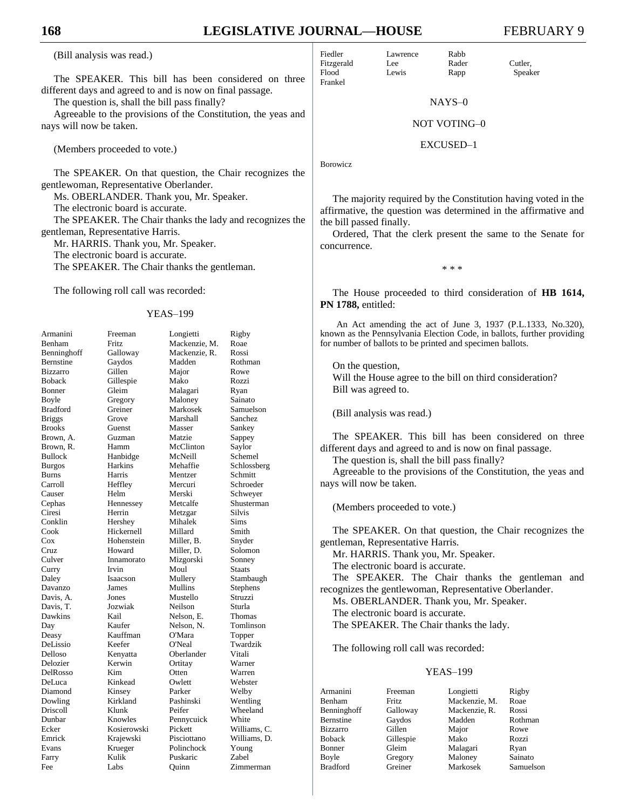# **168 LEGISLATIVE JOURNAL—HOUSE** FEBRUARY 9

(Bill analysis was read.)

The SPEAKER. This bill has been considered on three different days and agreed to and is now on final passage.

The question is, shall the bill pass finally?

Agreeable to the provisions of the Constitution, the yeas and nays will now be taken.

(Members proceeded to vote.)

The SPEAKER. On that question, the Chair recognizes the gentlewoman, Representative Oberlander.

Ms. OBERLANDER. Thank you, Mr. Speaker.

The electronic board is accurate.

The SPEAKER. The Chair thanks the lady and recognizes the gentleman, Representative Harris.

Mr. HARRIS. Thank you, Mr. Speaker.

The electronic board is accurate.

The SPEAKER. The Chair thanks the gentleman.

The following roll call was recorded:

#### YEAS–199

| Armanini        | Freeman     | Longietti     | Rigby         |
|-----------------|-------------|---------------|---------------|
| Benham          | Fritz       | Mackenzie, M. | Roae          |
| Benninghoff     | Galloway    | Mackenzie, R. | Rossi         |
| Bernstine       | Gaydos      | Madden        | Rothman       |
| <b>Bizzarro</b> | Gillen      | Major         | Rowe          |
| <b>Boback</b>   | Gillespie   | Mako          | Rozzi         |
| Bonner          | Gleim       | Malagari      | Ryan          |
| Boyle           | Gregory     | Maloney       | Sainato       |
| <b>Bradford</b> | Greiner     | Markosek      | Samuelson     |
| <b>Briggs</b>   | Grove       | Marshall      | Sanchez       |
| <b>Brooks</b>   | Guenst      | Masser        | Sankey        |
| Brown, A.       | Guzman      | Matzie        | Sappey        |
| Brown, R.       | Hamm        | McClinton     | Saylor        |
| <b>Bullock</b>  | Hanbidge    | McNeill       | Schemel       |
| <b>Burgos</b>   | Harkins     | Mehaffie      | Schlossberg   |
| Burns           | Harris      | Mentzer       | Schmitt       |
| Carroll         | Heffley     | Mercuri       | Schroeder     |
| Causer          | Helm        | Merski        | Schweyer      |
| Cephas          | Hennessey   | Metcalfe      | Shusterman    |
| Ciresi          | Herrin      | Metzgar       | Silvis        |
| Conklin         | Hershey     | Mihalek       | Sims          |
| Cook            | Hickernell  | Millard       | Smith         |
| $\cos$          | Hohenstein  | Miller, B.    | Snyder        |
| Cruz            | Howard      | Miller, D.    | Solomon       |
| Culver          | Innamorato  | Mizgorski     | Sonney        |
| Curry           | Irvin       | Moul          | <b>Staats</b> |
| Daley           | Isaacson    | Mullery       | Stambaugh     |
| Davanzo         | James       | Mullins       | Stephens      |
| Davis, A.       | Jones       | Mustello      | Struzzi       |
| Davis, T.       | Jozwiak     | Neilson       | Sturla        |
| Dawkins         | Kail        | Nelson, E.    | Thomas        |
| Day             | Kaufer      | Nelson, N.    | Tomlinson     |
| Deasy           | Kauffman    | O'Mara        | Topper        |
| DeLissio        | Keefer      | O'Neal        | Twardzik      |
| Delloso         | Kenyatta    | Oberlander    | Vitali        |
| Delozier        | Kerwin      | Ortitay       | Warner        |
| DelRosso        | Kim         | Otten         | Warren        |
| DeLuca          | Kinkead     | Owlett        | Webster       |
| Diamond         | Kinsey      | Parker        | Welby         |
| Dowling         | Kirkland    | Pashinski     | Wentling      |
| Driscoll        | Klunk       | Peifer        | Wheeland      |
| Dunbar          | Knowles     | Pennycuick    | White         |
| Ecker           | Kosierowski | Pickett       | Williams, C.  |
| Emrick          | Krajewski   | Pisciottano   | Williams, D.  |
| Evans           | Krueger     | Polinchock    | Young         |
| Farry           | Kulik       | Puskaric      | Zabel         |
| Fee             | Labs        | Quinn         | Zimmerman     |

| Fiedler    | Lawrence | Rabb  |         |
|------------|----------|-------|---------|
| Fitzgerald | Lee.     | Rader | Cutler. |
| Flood      | Lewis    | Rapp  | Speaker |

NAYS–0

#### NOT VOTING–0

#### EXCUSED–1

Borowicz

Frankel

The majority required by the Constitution having voted in the affirmative, the question was determined in the affirmative and the bill passed finally.

Ordered, That the clerk present the same to the Senate for concurrence.

\* \* \*

The House proceeded to third consideration of **HB 1614, PN 1788,** entitled:

An Act amending the act of June 3, 1937 (P.L.1333, No.320), known as the Pennsylvania Election Code, in ballots, further providing for number of ballots to be printed and specimen ballots.

On the question, Will the House agree to the bill on third consideration? Bill was agreed to.

(Bill analysis was read.)

The SPEAKER. This bill has been considered on three different days and agreed to and is now on final passage.

The question is, shall the bill pass finally?

Agreeable to the provisions of the Constitution, the yeas and nays will now be taken.

(Members proceeded to vote.)

The SPEAKER. On that question, the Chair recognizes the gentleman, Representative Harris.

Mr. HARRIS. Thank you, Mr. Speaker.

The electronic board is accurate.

The SPEAKER. The Chair thanks the gentleman and recognizes the gentlewoman, Representative Oberlander.

Ms. OBERLANDER. Thank you, Mr. Speaker.

The electronic board is accurate.

The SPEAKER. The Chair thanks the lady.

The following roll call was recorded:

#### YEAS–199

| Armanini         | Freeman   | Longietti     | Rigby     |
|------------------|-----------|---------------|-----------|
| Benham           | Fritz.    | Mackenzie, M. | Roae      |
| Benninghoff      | Galloway  | Mackenzie, R. | Rossi     |
| <b>Bernstine</b> | Gaydos    | Madden        | Rothman   |
| <b>Bizzarro</b>  | Gillen    | Major         | Rowe      |
| <b>Boback</b>    | Gillespie | Mako          | Rozzi     |
| <b>Bonner</b>    | Gleim     | Malagari      | Ryan      |
| Boyle            | Gregory   | Maloney       | Sainato   |
| <b>Bradford</b>  | Greiner   | Markosek      | Samuelson |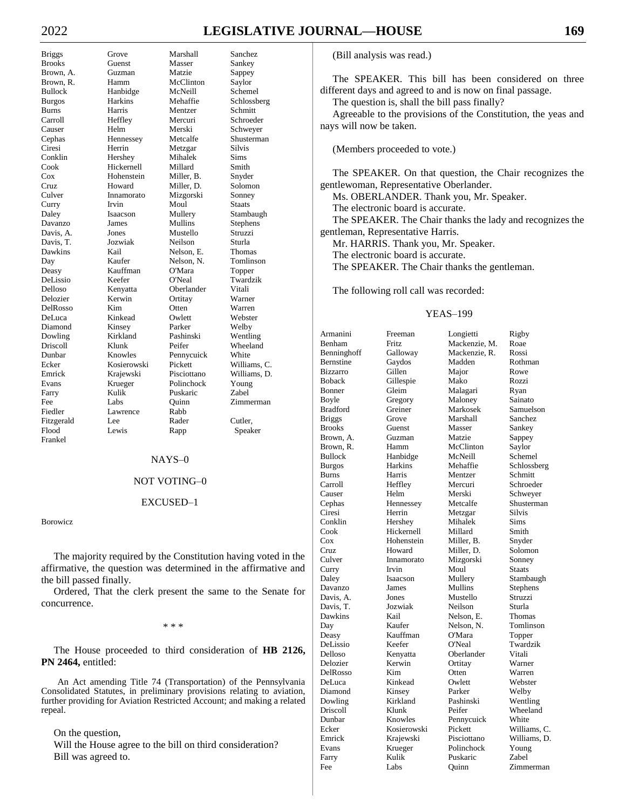# 2022 **LEGISLATIVE JOURNAL—HOUSE 169**

DelRosso Frankel

Briggs Grove Marshall Sanchez Brooks Guenst Masser Sankey Brown, A. Guzman Matzie Sappey Brown, R. Hamm McClinton Saylor Bullock Hanbidge McNeill Schemel Burgos Harkins Mehaffie Schlossberg Burns Harris Mentzer Schmitt Carroll Heffley Mercuri Schroeder Causer Helm Merski Schweyer Cephas Hennessey Metcalfe Shusterman Ciresi Herrin Metzgar Silvis Conklin Hershey Mihalek Sims Hickernell Millard<br>Hohenstein Miller, B. Cox Hohenstein Miller, B. Snyder Cruz Howard Miller, D. Solomon Culver Innamorato Mizgorski Sonney Curry Irvin Moul Staats Daley Isaacson Mullery Stambaugh Davanzo James Mullins Stephens Davis, A. Jones Mustello Struzzi Davis, T. Jozwiak Neilson Sturla Kail Nelson, E. Thomas Day Kaufer Nelson, N. Tomlinson Deasy Kauffman O'Mara Topper DeLissio Keefer O'Neal Twardzik Delloso Kenyatta Oberlander Vitali Delozier Kerwin Ortitay Warner DeLuca Kinkead Owlett Webster Diamond Kinsey Parker Welby Dowling Kirkland Pashinski Wentling Driscoll Klunk Peifer Wheeland Dunbar Knowles Pennycuick White Ecker Kosierowski Pickett Williams, C. Emrick Krajewski Pisciottano Williams, D. Evans Krueger Polinchock Young Farry Kulik Puskaric Zabel Fee Labs Quinn Zimmerman Fiedler Lawrence Rabb Fitzgerald Lee Rader Cutler, Flood Lewis Rapp Speaker

#### NAYS–0

## NOT VOTING–0

### EXCUSED–1

Borowicz

The majority required by the Constitution having voted in the affirmative, the question was determined in the affirmative and the bill passed finally.

Ordered, That the clerk present the same to the Senate for concurrence.

\* \* \*

The House proceeded to third consideration of **HB 2126, PN 2464,** entitled:

An Act amending Title 74 (Transportation) of the Pennsylvania Consolidated Statutes, in preliminary provisions relating to aviation, further providing for Aviation Restricted Account; and making a related repeal.

On the question,

Will the House agree to the bill on third consideration? Bill was agreed to.

(Bill analysis was read.)

The SPEAKER. This bill has been considered on three different days and agreed to and is now on final passage.

The question is, shall the bill pass finally?

Agreeable to the provisions of the Constitution, the yeas and nays will now be taken.

(Members proceeded to vote.)

The SPEAKER. On that question, the Chair recognizes the gentlewoman, Representative Oberlander.

Ms. OBERLANDER. Thank you, Mr. Speaker.

The electronic board is accurate.

The SPEAKER. The Chair thanks the lady and recognizes the gentleman, Representative Harris.

Mr. HARRIS. Thank you, Mr. Speaker. The electronic board is accurate. The SPEAKER. The Chair thanks the gentleman.

The following roll call was recorded:

#### YEAS–199

| Armanini        | Freeman     | Longietti     | Rigby         |
|-----------------|-------------|---------------|---------------|
| Benham          | Fritz.      | Mackenzie, M. | Roae          |
| Benninghoff     | Galloway    | Mackenzie, R. | Rossi         |
| Bernstine       | Gaydos      | Madden        | Rothman       |
| <b>Bizzarro</b> | Gillen      | Major         | Rowe          |
| <b>Boback</b>   | Gillespie   | Mako          | Rozzi         |
| Bonner          | Gleim       | Malagari      | Ryan          |
| Boyle           | Gregory     | Maloney       | Sainato       |
| <b>Bradford</b> | Greiner     | Markosek      | Samuelson     |
| <b>Briggs</b>   | Grove       | Marshall      | Sanchez       |
| <b>Brooks</b>   | Guenst      | Masser        | Sankey        |
| Brown, A.       | Guzman      | Matzie        | Sappey        |
| Brown, R.       | Hamm        | McClinton     | Saylor        |
| <b>Bullock</b>  | Hanbidge    | McNeill       | Schemel       |
| <b>Burgos</b>   | Harkins     | Mehaffie      | Schlossberg   |
| Burns           | Harris      | Mentzer       | Schmitt       |
| Carroll         | Heffley     | Mercuri       | Schroeder     |
| Causer          | Helm        | Merski        | Schweyer      |
| Cephas          | Hennessey   | Metcalfe      | Shusterman    |
| Ciresi          | Herrin      | Metzgar       | <b>Silvis</b> |
| Conklin         | Hershey     | Mihalek       | Sims          |
| Cook            | Hickernell  | Millard       | Smith         |
| $\cos$          | Hohenstein  | Miller, B.    | Snyder        |
| Cruz            | Howard      | Miller, D.    | Solomon       |
| Culver          | Innamorato  | Mizgorski     | Sonney        |
| Curry           | Irvin       | Moul          | Staats        |
| Daley           | Isaacson    | Mullery       | Stambaugh     |
| Davanzo         | James       | Mullins       | Stephens      |
| Davis, A.       | Jones       | Mustello      | Struzzi       |
| Davis, T.       | Jozwiak     | Neilson       | Sturla        |
| Dawkins         | Kail        | Nelson, E.    | Thomas        |
| Day             | Kaufer      | Nelson, N.    | Tomlinson     |
| Deasy           | Kauffman    | O'Mara        | Topper        |
| DeLissio        | Keefer      | O'Neal        | Twardzik      |
| Delloso         | Kenyatta    | Oberlander    | Vitali        |
| Delozier        | Kerwin      | Ortitay       | Warner        |
| DelRosso        | Kim         | Otten         | Warren        |
| DeLuca          | Kinkead     | Owlett        | Webster       |
| Diamond         | Kinsey      | Parker        | Welby         |
| Dowling         | Kirkland    | Pashinski     | Wentling      |
| Driscoll        | Klunk       | Peifer        | Wheeland      |
| Dunbar          | Knowles     | Pennycuick    | White         |
| Ecker           | Kosierowski | Pickett       | Williams, C.  |
| Emrick          | Krajewski   | Pisciottano   | Williams, D.  |
| Evans           | Krueger     | Polinchock    | Young         |
| Farry           | Kulik       | Puskaric      | Zabel         |
| Fee.            | Labs        | Ouinn         | Zimmerman     |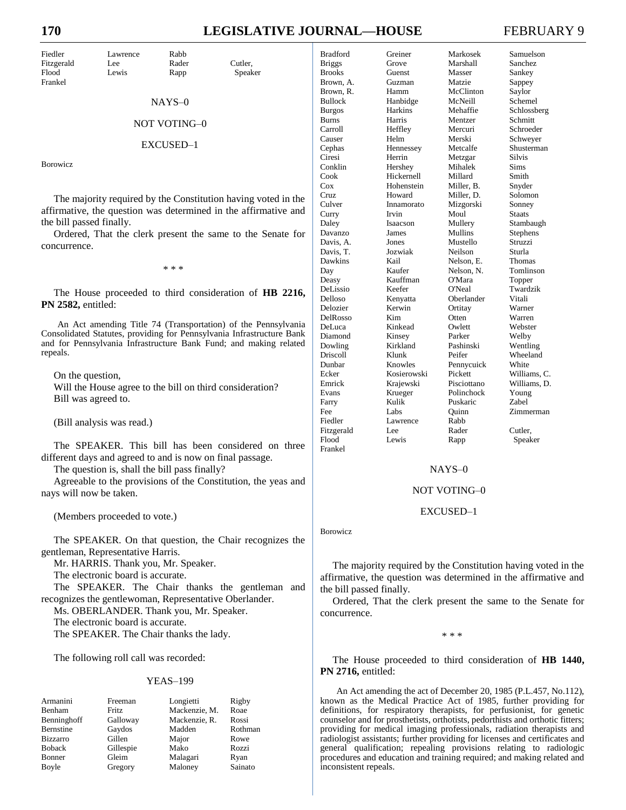# **170 LEGISLATIVE JOURNAL—HOUSE** FEBRUARY 9

| Fiedler    | Lawrence | Rabb  |         |
|------------|----------|-------|---------|
| Fitzgerald | Lee      | Rader | Cutler. |
| Flood      | Lewis    | Rapp  | Speaker |
| Frankel    |          |       |         |

### NAYS–0

#### NOT VOTING–0

#### EXCUSED–1

Borowicz

The majority required by the Constitution having voted in the affirmative, the question was determined in the affirmative and the bill passed finally.

Ordered, That the clerk present the same to the Senate for concurrence.

\* \* \*

The House proceeded to third consideration of **HB 2216, PN 2582,** entitled:

An Act amending Title 74 (Transportation) of the Pennsylvania Consolidated Statutes, providing for Pennsylvania Infrastructure Bank and for Pennsylvania Infrastructure Bank Fund; and making related repeals.

On the question,

Will the House agree to the bill on third consideration? Bill was agreed to.

(Bill analysis was read.)

The SPEAKER. This bill has been considered on three different days and agreed to and is now on final passage.

The question is, shall the bill pass finally?

Agreeable to the provisions of the Constitution, the yeas and nays will now be taken.

(Members proceeded to vote.)

The SPEAKER. On that question, the Chair recognizes the gentleman, Representative Harris.

Mr. HARRIS. Thank you, Mr. Speaker.

The electronic board is accurate.

The SPEAKER. The Chair thanks the gentleman and recognizes the gentlewoman, Representative Oberlander.

Ms. OBERLANDER. Thank you, Mr. Speaker.

The electronic board is accurate.

The SPEAKER. The Chair thanks the lady.

The following roll call was recorded:

#### YEAS–199

| Armanini         | Freeman      | Longietti     | Rigby   |
|------------------|--------------|---------------|---------|
| Benham           | <b>Fritz</b> | Mackenzie, M. | Roae    |
| Benninghoff      | Galloway     | Mackenzie, R. | Rossi   |
| <b>Bernstine</b> | Gaydos       | Madden        | Rothman |
| <b>Bizzarro</b>  | Gillen       | Major         | Rowe    |
| <b>Boback</b>    | Gillespie    | Mako          | Rozzi   |
| Bonner           | Gleim        | Malagari      | Ryan    |
| Boyle            | Gregory      | Maloney       | Sainato |

| <b>Bradford</b> | Greiner     | Markosek    | Samuelson      |
|-----------------|-------------|-------------|----------------|
| <b>Briggs</b>   | Grove       | Marshall    | <b>Sanchez</b> |
| <b>Brooks</b>   | Guenst      | Masser      | Sankey         |
| Brown, A.       | Guzman      | Matzie      | Sappey         |
| Brown, R.       | Hamm        | McClinton   | Saylor         |
| <b>Bullock</b>  | Hanbidge    | McNeill     | Schemel        |
| <b>Burgos</b>   | Harkins     | Mehaffie    | Schlossberg    |
| <b>Burns</b>    | Harris      | Mentzer     | Schmitt        |
| Carroll         | Heffley     | Mercuri     | Schroeder      |
| Causer          | Helm        | Merski      | Schwever       |
| Cephas          | Hennessey   | Metcalfe    | Shusterman     |
| Ciresi          | Herrin      | Metzgar     | <b>Silvis</b>  |
| Conklin         | Hershey     | Mihalek     | Sims           |
| Cook            | Hickernell  | Millard     | Smith          |
| Cox             | Hohenstein  | Miller, B.  | Snyder         |
| Cruz            | Howard      | Miller, D.  | Solomon        |
| Culver          | Innamorato  | Mizgorski   | Sonney         |
| Curry           | Irvin       | Moul        | <b>Staats</b>  |
| Daley           | Isaacson    | Mullery     | Stambaugh      |
| Davanzo         | James       | Mullins     | Stephens       |
| Davis, A.       | Jones       | Mustello    | Struzzi        |
| Davis, T.       | Jozwiak     | Neilson     | Sturla         |
| Dawkins         | Kail        | Nelson, E.  | Thomas         |
| Day             | Kaufer      | Nelson, N.  | Tomlinson      |
| Deasy           | Kauffman    | O'Mara      | Topper         |
| DeLissio        | Keefer      | O'Neal      | Twardzik       |
| Delloso         | Kenyatta    | Oberlander  | Vitali         |
| Delozier        | Kerwin      | Ortitay     | Warner         |
| DelRosso        | Kim         | Otten       | Warren         |
| DeLuca          | Kinkead     | Owlett      | Webster        |
| Diamond         | Kinsey      | Parker      | Welby          |
| Dowling         | Kirkland    | Pashinski   | Wentling       |
| Driscoll        | Klunk       | Peifer      | Wheeland       |
| Dunbar          | Knowles     | Pennycuick  | White          |
| Ecker           | Kosierowski | Pickett     | Williams, C.   |
| Emrick          | Krajewski   | Pisciottano | Williams, D.   |
| Evans           | Krueger     | Polinchock  | Young          |
| Farry           | Kulik       | Puskaric    | Zabel          |
| Fee             | Labs        | Ouinn       | Zimmerman      |
| Fiedler         | Lawrence    | Rabb        |                |
| Fitzgerald      | I ee        | Rader       | Cutler,        |
| Flood           | Lewis       | Rapp        | Speaker        |
| Frankel         |             |             |                |

#### NAYS–0

#### NOT VOTING–0

#### EXCUSED–1

Borowicz

The majority required by the Constitution having voted in the affirmative, the question was determined in the affirmative and the bill passed finally.

Ordered, That the clerk present the same to the Senate for concurrence.

\* \* \*

The House proceeded to third consideration of **HB 1440, PN 2716,** entitled:

An Act amending the act of December 20, 1985 (P.L.457, No.112), known as the Medical Practice Act of 1985, further providing for definitions, for respiratory therapists, for perfusionist, for genetic counselor and for prosthetists, orthotists, pedorthists and orthotic fitters; providing for medical imaging professionals, radiation therapists and radiologist assistants; further providing for licenses and certificates and general qualification; repealing provisions relating to radiologic procedures and education and training required; and making related and inconsistent repeals.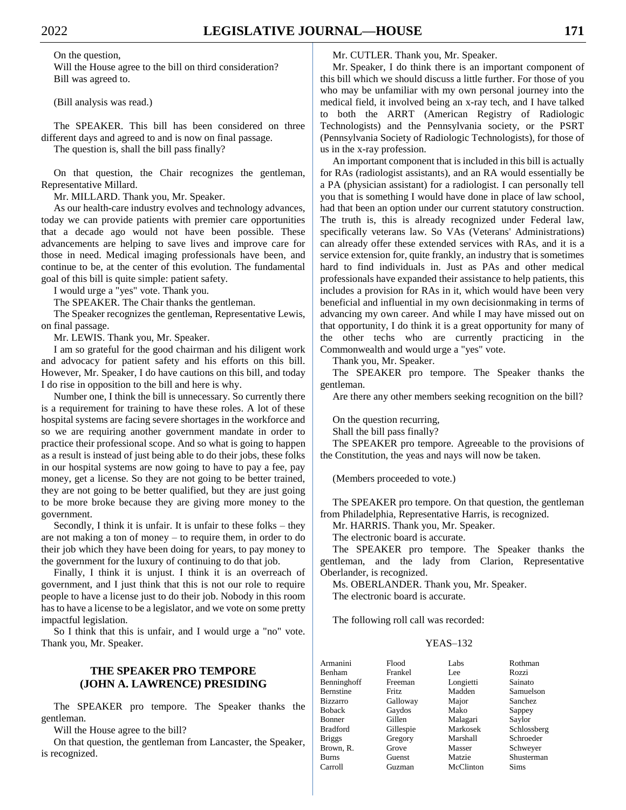On the question, Will the House agree to the bill on third consideration? Bill was agreed to.

(Bill analysis was read.)

The SPEAKER. This bill has been considered on three different days and agreed to and is now on final passage.

The question is, shall the bill pass finally?

On that question, the Chair recognizes the gentleman, Representative Millard.

Mr. MILLARD. Thank you, Mr. Speaker.

As our health-care industry evolves and technology advances, today we can provide patients with premier care opportunities that a decade ago would not have been possible. These advancements are helping to save lives and improve care for those in need. Medical imaging professionals have been, and continue to be, at the center of this evolution. The fundamental goal of this bill is quite simple: patient safety.

I would urge a "yes" vote. Thank you.

The SPEAKER. The Chair thanks the gentleman.

The Speaker recognizes the gentleman, Representative Lewis, on final passage.

Mr. LEWIS. Thank you, Mr. Speaker.

I am so grateful for the good chairman and his diligent work and advocacy for patient safety and his efforts on this bill. However, Mr. Speaker, I do have cautions on this bill, and today I do rise in opposition to the bill and here is why.

Number one, I think the bill is unnecessary. So currently there is a requirement for training to have these roles. A lot of these hospital systems are facing severe shortages in the workforce and so we are requiring another government mandate in order to practice their professional scope. And so what is going to happen as a result is instead of just being able to do their jobs, these folks in our hospital systems are now going to have to pay a fee, pay money, get a license. So they are not going to be better trained, they are not going to be better qualified, but they are just going to be more broke because they are giving more money to the government.

Secondly, I think it is unfair. It is unfair to these folks – they are not making a ton of money – to require them, in order to do their job which they have been doing for years, to pay money to the government for the luxury of continuing to do that job.

Finally, I think it is unjust. I think it is an overreach of government, and I just think that this is not our role to require people to have a license just to do their job. Nobody in this room has to have a license to be a legislator, and we vote on some pretty impactful legislation.

So I think that this is unfair, and I would urge a "no" vote. Thank you, Mr. Speaker.

# **THE SPEAKER PRO TEMPORE (JOHN A. LAWRENCE) PRESIDING**

The SPEAKER pro tempore. The Speaker thanks the gentleman.

Will the House agree to the bill?

On that question, the gentleman from Lancaster, the Speaker, is recognized.

Mr. CUTLER. Thank you, Mr. Speaker.

Mr. Speaker, I do think there is an important component of this bill which we should discuss a little further. For those of you who may be unfamiliar with my own personal journey into the medical field, it involved being an x-ray tech, and I have talked to both the ARRT (American Registry of Radiologic Technologists) and the Pennsylvania society, or the PSRT (Pennsylvania Society of Radiologic Technologists), for those of us in the x-ray profession.

An important component that is included in this bill is actually for RAs (radiologist assistants), and an RA would essentially be a PA (physician assistant) for a radiologist. I can personally tell you that is something I would have done in place of law school, had that been an option under our current statutory construction. The truth is, this is already recognized under Federal law, specifically veterans law. So VAs (Veterans' Administrations) can already offer these extended services with RAs, and it is a service extension for, quite frankly, an industry that is sometimes hard to find individuals in. Just as PAs and other medical professionals have expanded their assistance to help patients, this includes a provision for RAs in it, which would have been very beneficial and influential in my own decisionmaking in terms of advancing my own career. And while I may have missed out on that opportunity, I do think it is a great opportunity for many of the other techs who are currently practicing in the Commonwealth and would urge a "yes" vote.

Thank you, Mr. Speaker.

The SPEAKER pro tempore. The Speaker thanks the gentleman.

Are there any other members seeking recognition on the bill?

On the question recurring,

Shall the bill pass finally?

The SPEAKER pro tempore. Agreeable to the provisions of the Constitution, the yeas and nays will now be taken.

(Members proceeded to vote.)

The SPEAKER pro tempore. On that question, the gentleman from Philadelphia, Representative Harris, is recognized.

Mr. HARRIS. Thank you, Mr. Speaker.

The electronic board is accurate.

The SPEAKER pro tempore. The Speaker thanks the gentleman, and the lady from Clarion, Representative Oberlander, is recognized.

Ms. OBERLANDER. Thank you, Mr. Speaker.

The electronic board is accurate.

The following roll call was recorded:

# YEAS–132

| Flood     | Labs      | Rothman     |
|-----------|-----------|-------------|
| Frankel   | Lee       | Rozzi       |
| Freeman   | Longietti | Sainato     |
| Fritz.    | Madden    | Samuelson   |
| Galloway  | Major     | Sanchez     |
| Gaydos    | Mako      | Sappey      |
| Gillen    | Malagari  | Saylor      |
| Gillespie | Markosek  | Schlossberg |
| Gregory   | Marshall  | Schroeder   |
| Grove     | Masser    | Schwever    |
| Guenst    | Matzie    | Shusterman  |
| Guzman    | McClinton | <b>Sims</b> |
|           |           |             |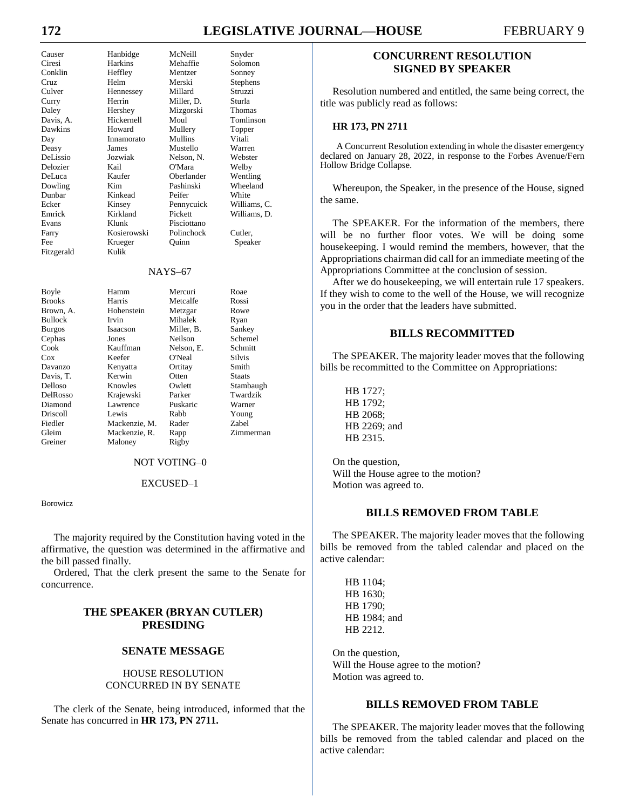# **172 LEGISLATIVE JOURNAL—HOUSE** FEBRUARY 9

| Causer         | Hanbidge    | McNeill     | Snyder        |
|----------------|-------------|-------------|---------------|
| Ciresi         | Harkins     | Mehaffie    | Solomon       |
| Conklin        | Heffley     | Mentzer     | Sonney        |
| Cruz           | Helm        | Merski      | Stephens      |
| Culver         | Hennessey   | Millard     | Struzzi       |
| Curry          | Herrin      | Miller, D.  | Sturla        |
| Daley          | Hershey     | Mizgorski   | <b>Thomas</b> |
| Davis, A.      | Hickernell  | Moul        | Tomlinson     |
| Dawkins        | Howard      | Mullery     | Topper        |
| Day            | Innamorato  | Mullins     | Vitali        |
| Deasy          | James       | Mustello    | Warren        |
| DeLissio       | Jozwiak     | Nelson, N.  | Webster       |
| Delozier       | Kail        | O'Mara      | Welby         |
| DeLuca         | Kaufer      | Oberlander  | Wentling      |
| Dowling        | Kim         | Pashinski   | Wheeland      |
| Dunbar         | Kinkead     | Peifer      | White         |
| Ecker          | Kinsey      | Pennycuick  | Williams, C.  |
| Emrick         | Kirkland    | Pickett     | Williams, D.  |
| Evans          | Klunk       | Pisciottano |               |
| Farry          | Kosierowski | Polinchock  | Cutler,       |
| Fee            | Krueger     | Quinn       | Speaker       |
| Fitzgerald     | Kulik       |             |               |
|                |             | $NAYS-67$   |               |
| Boyle          | Hamm        | Mercuri     | Roae          |
| <b>Brooks</b>  | Harris      | Metcalfe    | Rossi         |
| Brown, A.      | Hohenstein  | Metzgar     | Rowe          |
| <b>Bullock</b> | Irvin       | Mihalek     | Ryan          |
| <b>Burgos</b>  | Isaacson    | Miller, B.  | Sankey        |
| Cephas         | Jones       | Neilson     | Schemel       |
| Cook           | Kauffman    | Nelson, E.  | Schmitt       |
| $\cos$         | Keefer      | O'Neal      | Silvis        |
| Davanzo        | Kenyatta    | Ortitay     | Smith         |
| Davis, T.      | Kerwin      | Otten       | <b>Staats</b> |
| Delloso        | Knowles     | Owlett      | Stambaugh     |
| DelRosso       | Krajewski   | Parker      | Twardzik      |

### NOT VOTING–0

Diamond Lawrence Puskaric Warner Driscoll Lewis Rabb Young Fiedler Mackenzie, M. Rader Zabel Gleim Mackenzie, R. Rapp Zimmerman

Greiner Maloney Rigby

#### EXCUSED–1

Borowicz

The majority required by the Constitution having voted in the affirmative, the question was determined in the affirmative and the bill passed finally.

Ordered, That the clerk present the same to the Senate for concurrence.

# **THE SPEAKER (BRYAN CUTLER) PRESIDING**

#### **SENATE MESSAGE**

#### HOUSE RESOLUTION CONCURRED IN BY SENATE

The clerk of the Senate, being introduced, informed that the Senate has concurred in **HR 173, PN 2711.**

# **CONCURRENT RESOLUTION SIGNED BY SPEAKER**

Resolution numbered and entitled, the same being correct, the title was publicly read as follows:

#### **HR 173, PN 2711**

A Concurrent Resolution extending in whole the disaster emergency declared on January 28, 2022, in response to the Forbes Avenue/Fern Hollow Bridge Collapse.

Whereupon, the Speaker, in the presence of the House, signed the same.

The SPEAKER. For the information of the members, there will be no further floor votes. We will be doing some housekeeping. I would remind the members, however, that the Appropriations chairman did call for an immediate meeting of the Appropriations Committee at the conclusion of session.

After we do housekeeping, we will entertain rule 17 speakers. If they wish to come to the well of the House, we will recognize you in the order that the leaders have submitted.

# **BILLS RECOMMITTED**

The SPEAKER. The majority leader moves that the following bills be recommitted to the Committee on Appropriations:

HB 1727; HB 1792; HB 2068; HB 2269; and HB 2315.

On the question, Will the House agree to the motion? Motion was agreed to.

# **BILLS REMOVED FROM TABLE**

The SPEAKER. The majority leader moves that the following bills be removed from the tabled calendar and placed on the active calendar:

HB 1104; HB 1630; HB 1790; HB 1984; and HB 2212.

On the question, Will the House agree to the motion? Motion was agreed to.

# **BILLS REMOVED FROM TABLE**

The SPEAKER. The majority leader moves that the following bills be removed from the tabled calendar and placed on the active calendar: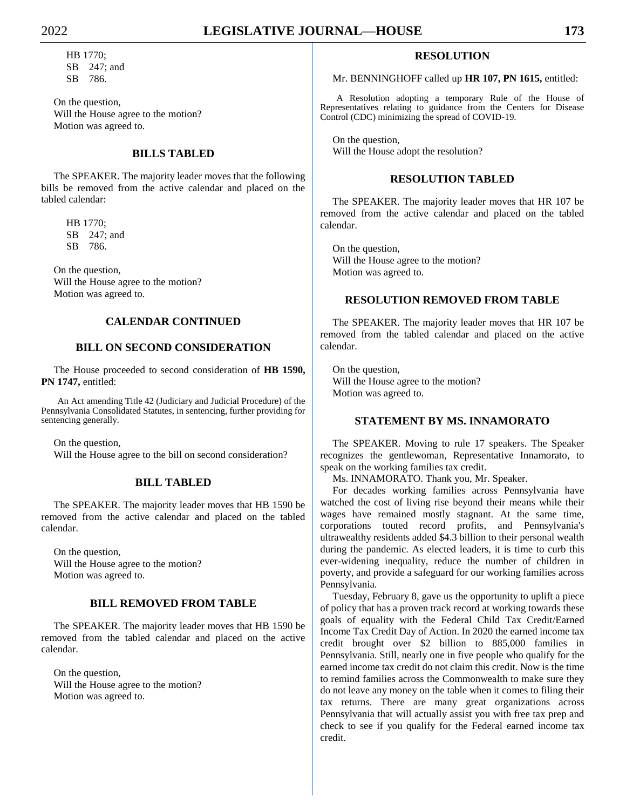HB 1770; SB 247; and SB 786.

On the question, Will the House agree to the motion? Motion was agreed to.

# **BILLS TABLED**

The SPEAKER. The majority leader moves that the following bills be removed from the active calendar and placed on the tabled calendar:

HB 1770; SB 247; and SB 786.

On the question, Will the House agree to the motion? Motion was agreed to.

# **CALENDAR CONTINUED**

# **BILL ON SECOND CONSIDERATION**

The House proceeded to second consideration of **HB 1590, PN 1747,** entitled:

An Act amending Title 42 (Judiciary and Judicial Procedure) of the Pennsylvania Consolidated Statutes, in sentencing, further providing for sentencing generally.

On the question, Will the House agree to the bill on second consideration?

# **BILL TABLED**

The SPEAKER. The majority leader moves that HB 1590 be removed from the active calendar and placed on the tabled calendar.

On the question, Will the House agree to the motion? Motion was agreed to.

# **BILL REMOVED FROM TABLE**

The SPEAKER. The majority leader moves that HB 1590 be removed from the tabled calendar and placed on the active calendar.

On the question, Will the House agree to the motion? Motion was agreed to.

# **RESOLUTION**

# Mr. BENNINGHOFF called up **HR 107, PN 1615,** entitled:

A Resolution adopting a temporary Rule of the House of Representatives relating to guidance from the Centers for Disease Control (CDC) minimizing the spread of COVID-19.

On the question, Will the House adopt the resolution?

# **RESOLUTION TABLED**

The SPEAKER. The majority leader moves that HR 107 be removed from the active calendar and placed on the tabled calendar.

On the question, Will the House agree to the motion? Motion was agreed to.

# **RESOLUTION REMOVED FROM TABLE**

The SPEAKER. The majority leader moves that HR 107 be removed from the tabled calendar and placed on the active calendar.

On the question, Will the House agree to the motion? Motion was agreed to.

# **STATEMENT BY MS. INNAMORATO**

The SPEAKER. Moving to rule 17 speakers. The Speaker recognizes the gentlewoman, Representative Innamorato, to speak on the working families tax credit.

Ms. INNAMORATO. Thank you, Mr. Speaker.

For decades working families across Pennsylvania have watched the cost of living rise beyond their means while their wages have remained mostly stagnant. At the same time, corporations touted record profits, and Pennsylvania's ultrawealthy residents added \$4.3 billion to their personal wealth during the pandemic. As elected leaders, it is time to curb this ever-widening inequality, reduce the number of children in poverty, and provide a safeguard for our working families across Pennsylvania.

Tuesday, February 8, gave us the opportunity to uplift a piece of policy that has a proven track record at working towards these goals of equality with the Federal Child Tax Credit/Earned Income Tax Credit Day of Action. In 2020 the earned income tax credit brought over \$2 billion to 885,000 families in Pennsylvania. Still, nearly one in five people who qualify for the earned income tax credit do not claim this credit. Now is the time to remind families across the Commonwealth to make sure they do not leave any money on the table when it comes to filing their tax returns. There are many great organizations across Pennsylvania that will actually assist you with free tax prep and check to see if you qualify for the Federal earned income tax credit.